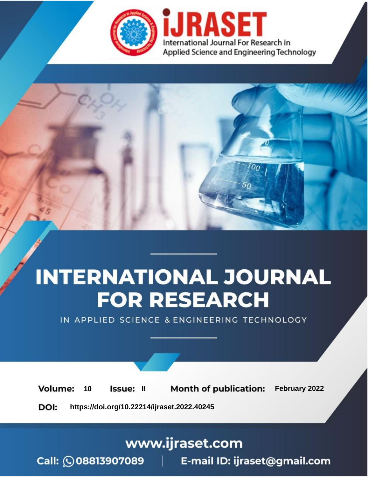

# **INTERNATIONAL JOURNAL FOR RESEARCH**

IN APPLIED SCIENCE & ENGINEERING TECHNOLOGY

**Month of publication:** February 2022 **Volume:** 10 **Issue: II** DOI: https://doi.org/10.22214/ijraset.2022.40245

www.ijraset.com

 $Call: \bigcirc$ 08813907089 E-mail ID: ijraset@gmail.com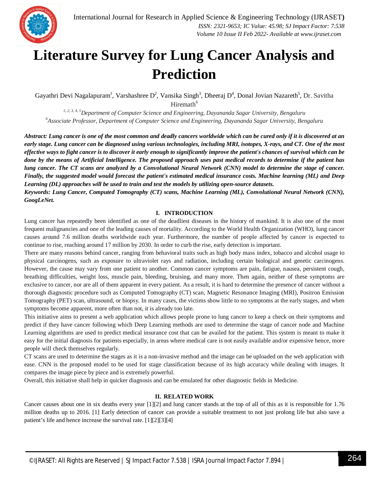

### **Literature Survey for Lung Cancer Analysis and Prediction**

Gayathri Devi Nagalapuram<sup>1</sup>, Varshashree D<sup>2</sup>, Vansika Singh<sup>3</sup>, Dheeraj D<sup>4</sup>, Donal Jovian Nazareth<sup>5</sup>, Dr. Savitha Hiremath $<sup>6</sup>$ </sup>

*1, 2, 3, 4, 5Department of Computer Science and Engineering, Dayananda Sagar University, Bengaluru <sup>6</sup>Associate Professor, Department of Computer Science and Engineering, Dayananda Sagar University, Bengaluru*

*Abstract: Lung cancer is one of the most common and deadly cancers worldwide which can be cured only if it is discovered at an early stage. Lung cancer can be diagnosed using various technologies, including MRI, isotopes, X-rays, and CT. One of the most effective ways to fight cancer is to discover it early enough to significantly improve the patient's chances of survival which can be done by the means of Artificial Intelligence. The proposed approach uses past medical records to determine if the patient has lung cancer. The CT scans are analyzed by a Convolutional Neural Network (CNN) model to determine the stage of cancer. Finally, the suggested model would forecast the patient's estimated medical insurance costs. Machine learning (ML) and Deep Learning (DL) approaches will be used to train and test the models by utilizing open-source datasets.*

*Keywords: Lung Cancer, Computed Tomography (CT) scans, Machine Learning (ML), Convolutional Neural Network (CNN), GoogLeNet.*

#### **I. INTRODUCTION**

Lung cancer has repeatedly been identified as one of the deadliest diseases in the history of mankind. It is also one of the most frequent malignancies and one of the leading causes of mortality. According to the World Health Organization (WHO), lung cancer causes around 7.6 million deaths worldwide each year. Furthermore, the number of people affected by cancer is expected to continue to rise, reaching around 17 million by 2030. In order to curb the rise, early detection is important.

There are many reasons behind cancer, ranging from behavioral traits such as high body mass index, tobacco and alcohol usage to physical carcinogens, such as exposure to ultraviolet rays and radiation, including certain biological and genetic carcinogens. However, the cause may vary from one patient to another. Common cancer symptoms are pain, fatigue, nausea, persistent cough, breathing difficulties, weight loss, muscle pain, bleeding, bruising, and many more. Then again, neither of these symptoms are exclusive to cancer, nor are all of them apparent in every patient. As a result, it is hard to determine the presence of cancer without a thorough diagnostic procedure such as Computed Tomography (CT) scan, Magnetic Resonance Imaging (MRI), Positron Emission Tomography (PET) scan, ultrasound, or biopsy. In many cases, the victims show little to no symptoms at the early stages, and when symptoms become apparent, more often than not, it is already too late.

This initiative aims to present a web application which allows people prone to lung cancer to keep a check on their symptoms and predict if they have cancer following which Deep Learning methods are used to determine the stage of cancer node and Machine Learning algorithms are used to predict medical insurance cost that can be availed for the patient. This system is meant to make it easy for the initial diagnosis for patients especially, in areas where medical care is not easily available and/or expensive hence, more people will check themselves regularly.

CT scans are used to determine the stages as it is a non-invasive method and the image can be uploaded on the web application with ease. CNN is the proposed model to be used for stage classification because of its high accuracy while dealing with images. It compares the image piece by piece and is extremely powerful.

Overall, this initiative shall help in quicker diagnosis and can be emulated for other diagnostic fields in Medicine.

#### **II. RELATED WORK**

Cancer causes about one in six deaths every year [1][2] and lung cancer stands at the top of all of this as it is responsible for 1.76 million deaths up to 2016. [1] Early detection of cancer can provide a suitable treatment to not just prolong life but also save a patient's life and hence increase the survival rate. [1][2][3][4]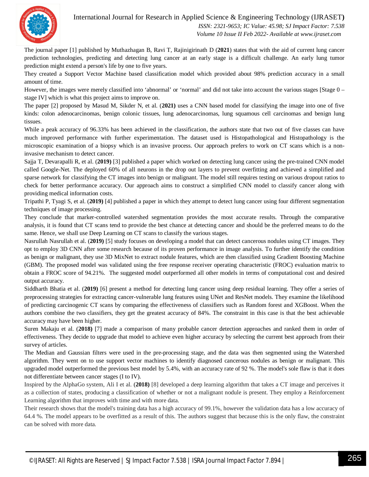International Journal for Research in Applied Science & Engineering Technology (IJRASET**)**



 *ISSN: 2321-9653; IC Value: 45.98; SJ Impact Factor: 7.538 Volume 10 Issue II Feb 2022- Available at www.ijraset.com*

The journal paper [1] published by Muthazhagan B, Ravi T, Rajinigirinath D (**2021**) states that with the aid of current lung cancer prediction technologies, predicting and detecting lung cancer at an early stage is a difficult challenge. An early lung tumor prediction might extend a person's life by one to five years.

They created a Support Vector Machine based classification model which provided about 98% prediction accuracy in a small amount of time.

However, the images were merely classified into 'abnormal' or 'normal' and did not take into account the various stages [Stage 0 – stage IV] which is what this project aims to improve on.

The paper [2] proposed by Masud M, Sikder N, et al. (**2021)** uses a CNN based model for classifying the image into one of five kinds: colon adenocarcinomas, benign colonic tissues, lung adenocarcinomas, lung squamous cell carcinomas and benign lung tissues.

While a peak accuracy of 96.33% has been achieved in the classification, the authors state that two out of five classes can have much improved performance with further experimentation. The dataset used is Histopathological and Histopathology is the microscopic examination of a biopsy which is an invasive process. Our approach prefers to work on CT scans which is a noninvasive mechanism to detect cancer.

Sajja T, Devarapalli R, et al. (**2019)** [3] published a paper which worked on detecting lung cancer using the pre-trained CNN model called Google-Net. The deployed 60% of all neurons in the drop out layers to prevent overfitting and achieved a simplified and sparse network for classifying the CT images into benign or malignant. The model still requires testing on various dropout ratios to check for better performance accuracy. Our approach aims to construct a simplified CNN model to classify cancer along with providing medical information costs.

Tripathi P, Tyagi S, et al. (**2019)** [4] published a paper in which they attempt to detect lung cancer using four different segmentation techniques of image processing.

They conclude that marker-controlled watershed segmentation provides the most accurate results. Through the comparative analysis, it is found that CT scans tend to provide the best chance at detecting cancer and should be the preferred means to do the same. Hence, we shall use Deep Learning on CT scans to classify the various stages.

Nasrullah Nasrullah et al. (**2019)** [5] study focuses on developing a model that can detect cancerous nodules using CT images. They opt to employ 3D CNN after some research because of its proven performance in image analysis. To further identify the condition as benign or malignant, they use 3D MixNet to extract nodule features, which are then classified using Gradient Boosting Machine (GBM). The proposed model was validated using the free response receiver operating characteristic (FROC) evaluation matrix to obtain a FROC score of 94.21%. The suggested model outperformed all other models in terms of computational cost and desired output accuracy.

Siddharth Bhatia et al. (**2019)** [6] present a method for detecting lung cancer using deep residual learning. They offer a series of preprocessing strategies for extracting cancer-vulnerable lung features using UNet and ResNet models. They examine the likelihood of predicting carcinogenic CT scans by comparing the effectiveness of classifiers such as Random forest and XGBoost. When the authors combine the two classifiers, they get the greatest accuracy of 84%. The constraint in this case is that the best achievable accuracy may have been higher.

Suren Makaju et al. (**2018)** [7] made a comparison of many probable cancer detection approaches and ranked them in order of effectiveness. They decide to upgrade that model to achieve even higher accuracy by selecting the current best approach from their survey of articles.

The Median and Gaussian filters were used in the pre-processing stage, and the data was then segmented using the Watershed algorithm. They went on to use support vector machines to identify diagnosed cancerous nodules as benign or malignant. This upgraded model outperformed the previous best model by 5.4%, with an accuracy rate of 92 %. The model's sole flaw is that it does not differentiate between cancer stages (I to IV).

Inspired by the AlphaGo system, Ali I et al. (**2018)** [8] developed a deep learning algorithm that takes a CT image and perceives it as a collection of states, producing a classification of whether or not a malignant nodule is present. They employ a Reinforcement Learning algorithm that improves with time and with more data.

Their research shows that the model's training data has a high accuracy of 99.1%, however the validation data has a low accuracy of 64.4 %. The model appears to be overfitted as a result of this. The authors suggest that because this is the only flaw, the constraint can be solved with more data.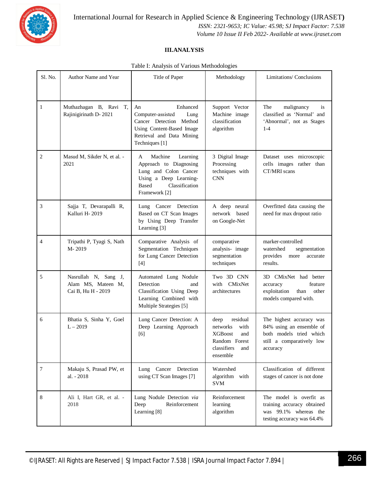

International Journal for Research in Applied Science & Engineering Technology (IJRASET**)**  *ISSN: 2321-9653; IC Value: 45.98; SJ Impact Factor: 7.538*

 *Volume 10 Issue II Feb 2022- Available at www.ijraset.com*

#### **III.ANALYSIS**

| Table I: Analysis of Various Methodologies |  |  |  |  |  |
|--------------------------------------------|--|--|--|--|--|
|--------------------------------------------|--|--|--|--|--|

| Sl. No.      | Author Name and Year                                             | Title of Paper                                                                                                                                           | Methodology                                                                                                      | Limitations/ Conclusions                                                                                                 |
|--------------|------------------------------------------------------------------|----------------------------------------------------------------------------------------------------------------------------------------------------------|------------------------------------------------------------------------------------------------------------------|--------------------------------------------------------------------------------------------------------------------------|
| $\mathbf{1}$ | Muthazhagan B, Ravi T,<br>Rajinigirinath D-2021                  | Enhanced<br>An<br>Computer-assisted<br>Lung<br>Cancer Detection Method<br>Using Content-Based Image<br>Retrieval and Data Mining<br>Techniques [1]       | Support Vector<br>Machine image<br>classification<br>algorithm                                                   | The<br>malignancy<br>is<br>classified as 'Normal' and<br>'Abnormal', not as Stages<br>$1-4$                              |
| $\mathbf{2}$ | Masud M, Sikder N, et al. -<br>2021                              | Machine<br>Learning<br>A<br>Approach to Diagnosing<br>Lung and Colon Cancer<br>Using a Deep Learning-<br>Classification<br><b>Based</b><br>Framework [2] | 3 Digital Image<br>Processing<br>techniques with<br><b>CNN</b>                                                   | Dataset uses microscopic<br>cells images rather than<br>CT/MRI scans                                                     |
| 3            | Sajja T, Devarapalli R,<br>Kalluri H-2019                        | Lung Cancer Detection<br>Based on CT Scan Images<br>by Using Deep Transfer<br>Learning [3]                                                               | A deep neural<br>network based<br>on Google-Net                                                                  | Overfitted data causing the<br>need for max dropout ratio                                                                |
| 4            | Tripathi P, Tyagi S, Nath<br>M-2019                              | Comparative Analysis of<br>Segmentation Techniques<br>for Lung Cancer Detection<br>$[4]$                                                                 | comparative<br>analysis- image<br>segmentation<br>techniques                                                     | marker-controlled<br>watershed<br>segmentation<br>provides<br>more<br>accurate<br>results.                               |
| 5            | Nasrullah N, Sang J,<br>Alam MS, Mateen M,<br>Cai B, Hu H - 2019 | Automated Lung Nodule<br>Detection<br>and<br>Classification Using Deep<br>Learning Combined with<br>Multiple Strategies [5]                              | Two 3D CNN<br>with CMixNet<br>architectures                                                                      | 3D CMixNet had better<br>feature<br>accuracy<br>exploitation<br>other<br>than<br>models compared with.                   |
| 6            | Bhatia S, Sinha Y, Goel<br>$L - 2019$                            | Lung Cancer Detection: A<br>Deep Learning Approach<br>[6]                                                                                                | residual<br>deep<br>with<br>networks<br><b>XGBoost</b><br>and<br>Random Forest<br>classifiers<br>and<br>ensemble | The highest accuracy was<br>84% using an ensemble of<br>both models tried which<br>still a comparatively low<br>accuracy |
| 7            | Makaju S, Prasad PW, et<br>al. - 2018                            | Cancer Detection<br>Lung<br>using CT Scan Images [7]                                                                                                     | Watershed<br>algorithm with<br><b>SVM</b>                                                                        | Classification of different<br>stages of cancer is not done                                                              |
| 8            | Ali I, Hart GR, et al. -<br>2018                                 | Lung Nodule Detection via<br>Deep<br>Reinforcement<br>Learning [8]                                                                                       | Reinforcement<br>learning<br>algorithm                                                                           | The model is overfit as<br>training accuracy obtained<br>was 99.1% whereas the<br>testing accuracy was 64.4%             |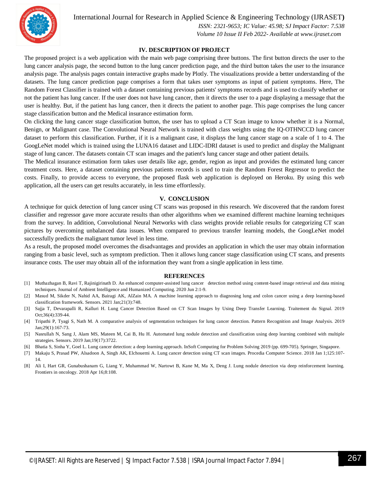

International Journal for Research in Applied Science & Engineering Technology (IJRASET**)**

 *ISSN: 2321-9653; IC Value: 45.98; SJ Impact Factor: 7.538 Volume 10 Issue II Feb 2022- Available at www.ijraset.com*

#### **IV. DESCRIPTION OF PROJECT**

The proposed project is a web application with the main web page comprising three buttons. The first button directs the user to the lung cancer analysis page, the second button to the lung cancer prediction page, and the third button takes the user to the insurance analysis page. The analysis pages contain interactive graphs made by Plotly. The visualizations provide a better understanding of the datasets. The lung cancer prediction page comprises a form that takes user symptoms as input of patient symptoms. Here, The Random Forest Classifier is trained with a dataset containing previous patients' symptoms records and is used to classify whether or not the patient has lung cancer. If the user does not have lung cancer, then it directs the user to a page displaying a message that the user is healthy. But, if the patient has lung cancer, then it directs the patient to another page. This page comprises the lung cancer stage classification button and the Medical insurance estimation form.

On clicking the lung cancer stage classification button, the user has to upload a CT Scan image to know whether it is a Normal, Benign, or Malignant case. The Convolutional Neural Network is trained with class weights using the IQ-OTHNCCD lung cancer dataset to perform this classification. Further, if it is a malignant case, it displays the lung cancer stage on a scale of 1 to 4. The GoogLeNet model which is trained using the LUNA16 dataset and LIDC-IDRI dataset is used to predict and display the Malignant stage of lung cancer. The datasets contain CT scan images and the patient's lung cancer stage and other patient details.

The Medical insurance estimation form takes user details like age, gender, region as input and provides the estimated lung cancer treatment costs. Here, a dataset containing previous patients records is used to train the Random Forest Regressor to predict the costs. Finally, to provide access to everyone, the proposed flask web application is deployed on Heroku. By using this web application, all the users can get results accurately, in less time effortlessly.

#### **V. CONCLUSION**

A technique for quick detection of lung cancer using CT scans was proposed in this research. We discovered that the random forest classifier and regressor gave more accurate results than other algorithms when we examined different machine learning techniques from the survey. In addition, Convolutional Neural Networks with class weights provide reliable results for categorizing CT scan pictures by overcoming unbalanced data issues. When compared to previous transfer learning models, the GoogLeNet model successfully predicts the malignant tumor level in less time.

As a result, the proposed model overcomes the disadvantages and provides an application in which the user may obtain information ranging from a basic level, such as symptom prediction. Then it allows lung cancer stage classification using CT scans, and presents insurance costs. The user may obtain all of the information they want from a single application in less time.

#### **REFERENCES**

- [1] Muthazhagan B, Ravi T, Rajinigirinath D. An enhanced computer-assisted lung cancer detection method using content-based image retrieval and data mining techniques. Journal of Ambient Intelligence and Humanized Computing. 2020 Jun 2:1-9.
- [2] Masud M, Sikder N, Nahid AA, Bairagi AK, AlZain MA. A machine learning approach to diagnosing lung and colon cancer using a deep learning-based classification framework. Sensors. 2021 Jan;21(3):748.
- [3] Sajja T, Devarapalli R, Kalluri H. Lung Cancer Detection Based on CT Scan Images by Using Deep Transfer Learning. Traitement du Signal. 2019 Oct;36(4):339-44.
- [4] Tripathi P, Tyagi S, Nath M. A comparative analysis of segmentation techniques for lung cancer detection. Pattern Recognition and Image Analysis. 2019 Jan;29(1):167-73.
- [5] Nasrullah N, Sang J, Alam MS, Mateen M, Cai B, Hu H. Automated lung nodule detection and classification using deep learning combined with multiple strategies. Sensors. 2019 Jan;19(17):3722.
- [6] Bhatia S, Sinha Y, Goel L. Lung cancer detection: a deep learning approach. InSoft Computing for Problem Solving 2019 (pp. 699-705). Springer, Singapore.
- [7] Makaju S, Prasad PW, Alsadoon A, Singh AK, Elchouemi A. Lung cancer detection using CT scan images. Procedia Computer Science. 2018 Jan 1;125:107- 14.
- [8] Ali I, Hart GR, Gunabushanam G, Liang Y, Muhammad W, Nartowt B, Kane M, Ma X, Deng J. Lung nodule detection via deep reinforcement learning. Frontiers in oncology. 2018 Apr 16;8:108.